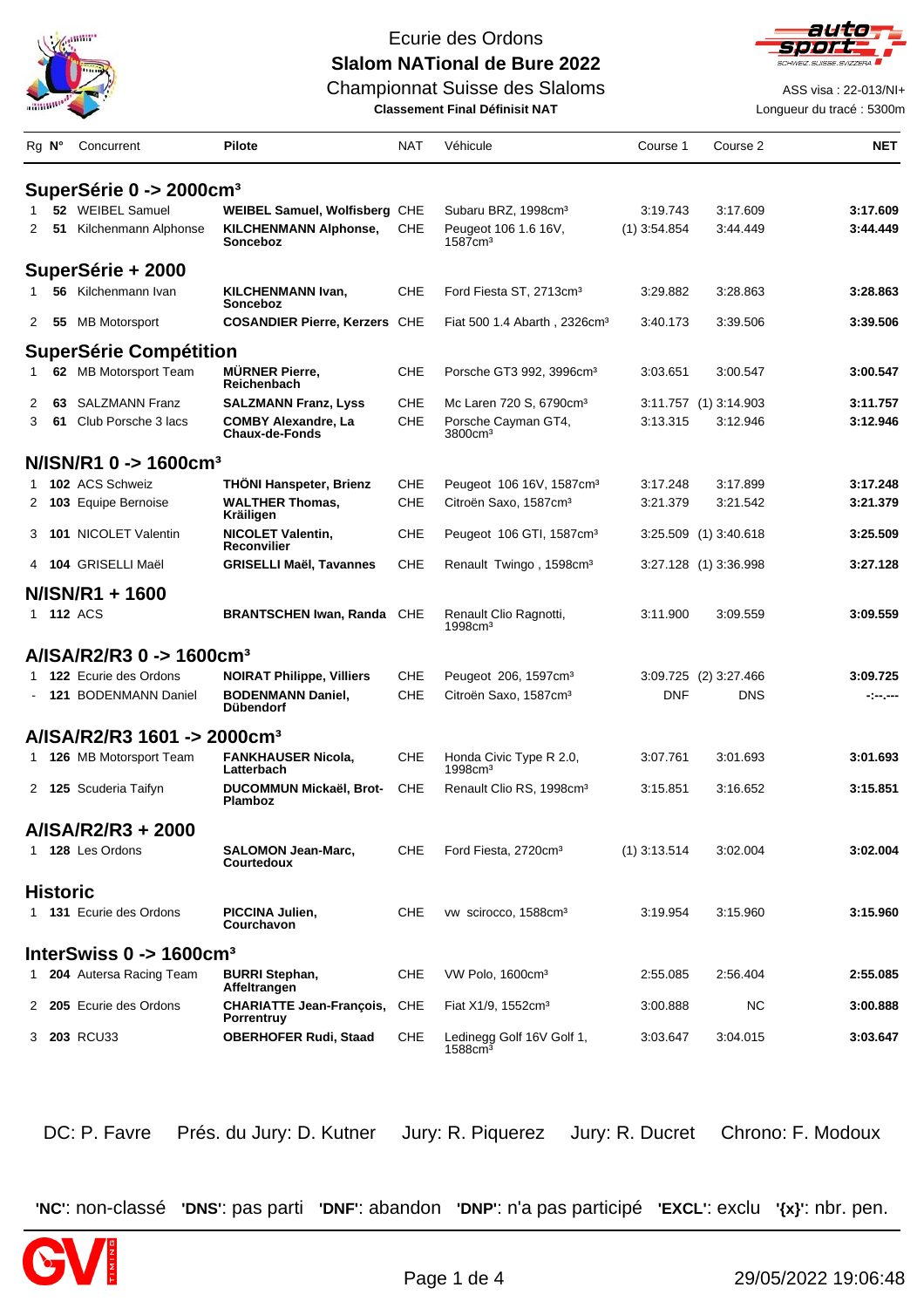

Championnat Suisse des Slaloms **ASS** visa : 22-013/NI+



**Classement Final Définisit NAT** Longueur du tracé : 5300m

| Rg N°        |                 | Concurrent                                      | <b>Pilote</b>                                        | <b>NAT</b> | Véhicule                                            | Course 1       | Course 2              | <b>NET</b> |
|--------------|-----------------|-------------------------------------------------|------------------------------------------------------|------------|-----------------------------------------------------|----------------|-----------------------|------------|
|              |                 | SuperSérie 0 -> 2000cm <sup>3</sup>             |                                                      |            |                                                     |                |                       |            |
|              |                 | 52 WEIBEL Samuel                                | <b>WEIBEL Samuel, Wolfisberg CHE</b>                 |            | Subaru BRZ, 1998cm <sup>3</sup>                     | 3:19.743       | 3:17.609              | 3:17.609   |
| 2            | 51              | Kilchenmann Alphonse                            | <b>KILCHENMANN Alphonse,</b><br>Sonceboz             | CHE        | Peugeot 106 1.6 16V,<br>$1587$ cm <sup>3</sup>      | $(1)$ 3:54.854 | 3:44.449              | 3:44.449   |
|              |                 | SuperSérie + 2000                               |                                                      |            |                                                     |                |                       |            |
|              |                 | 56 Kilchenmann Ivan                             | <b>KILCHENMANN Ivan,</b><br>Sonceboz                 | <b>CHE</b> | Ford Fiesta ST, 2713cm <sup>3</sup>                 | 3:29.882       | 3:28.863              | 3:28.863   |
| $\mathbf{2}$ |                 | 55 MB Motorsport                                | <b>COSANDIER Pierre, Kerzers CHE</b>                 |            | Fiat 500 1.4 Abarth, 2326cm <sup>3</sup>            | 3:40.173       | 3:39.506              | 3:39.506   |
|              |                 | <b>SuperSérie Compétition</b>                   |                                                      |            |                                                     |                |                       |            |
| 1            |                 | 62 MB Motorsport Team                           | <b>MÜRNER Pierre,</b><br>Reichenbach                 | <b>CHE</b> | Porsche GT3 992, 3996cm <sup>3</sup>                | 3:03.651       | 3:00.547              | 3:00.547   |
| 2            | 63              | <b>SALZMANN Franz</b>                           | <b>SALZMANN Franz, Lyss</b>                          | <b>CHE</b> | Mc Laren 720 S, 6790cm <sup>3</sup>                 |                | 3:11.757 (1) 3:14.903 | 3:11.757   |
| 3            | 61              | Club Porsche 3 lacs                             | <b>COMBY Alexandre, La</b><br><b>Chaux-de-Fonds</b>  | <b>CHE</b> | Porsche Cayman GT4,<br>3800cm <sup>3</sup>          | 3:13.315       | 3:12.946              | 3:12.946   |
|              |                 | $N/ISN/R1$ 0 -> 1600cm <sup>3</sup>             |                                                      |            |                                                     |                |                       |            |
| $1 \quad$    |                 | 102 ACS Schweiz                                 | <b>THÖNI Hanspeter, Brienz</b>                       | CHE        | Peugeot 106 16V, 1587cm <sup>3</sup>                | 3:17.248       | 3:17.899              | 3:17.248   |
|              |                 | 2 103 Equipe Bernoise                           | <b>WALTHER Thomas,</b><br>Kräiligen                  | <b>CHE</b> | Citroën Saxo, 1587cm <sup>3</sup>                   | 3:21.379       | 3:21.542              | 3:21.379   |
| 3            |                 | 101 NICOLET Valentin                            | <b>NICOLET Valentin,</b><br><b>Reconvilier</b>       | <b>CHE</b> | Peugeot 106 GTI, 1587cm <sup>3</sup>                |                | 3:25.509 (1) 3:40.618 | 3:25.509   |
|              |                 | 4 104 GRISELLI Maël                             | <b>GRISELLI Maël, Tavannes</b>                       | <b>CHE</b> | Renault Twingo, 1598cm <sup>3</sup>                 |                | 3:27.128 (1) 3:36.998 | 3:27.128   |
|              |                 | N/ISN/R1 + 1600                                 |                                                      |            |                                                     |                |                       |            |
|              |                 | 1 112 ACS                                       | <b>BRANTSCHEN Iwan, Randa</b> CHE                    |            | Renault Clio Ragnotti,<br>1998cm <sup>3</sup>       | 3:11.900       | 3:09.559              | 3:09.559   |
|              |                 | $A/IBA/R2/R30 - > 1600cm3$                      |                                                      |            |                                                     |                |                       |            |
|              |                 | 1 122 Ecurie des Ordons                         | <b>NOIRAT Philippe, Villiers</b>                     | CHE        | Peugeot 206, 1597cm <sup>3</sup>                    |                | 3:09.725 (2) 3:27.466 | 3:09.725   |
| $\sim$       |                 | 121 BODENMANN Daniel                            | <b>BODENMANN Daniel,</b><br><b>Dübendorf</b>         | CHE        | Citroën Saxo, 1587cm <sup>3</sup>                   | <b>DNF</b>     | <b>DNS</b>            | - - -      |
|              |                 | A/ISA/R2/R3 1601 -> 2000cm <sup>3</sup>         |                                                      |            |                                                     |                |                       |            |
| 1            |                 | 126 MB Motorsport Team                          | <b>FANKHAUSER Nicola,</b><br>Latterbach              | CHE        | Honda Civic Type R 2.0,<br>1998cm <sup>3</sup>      | 3:07.761       | 3:01.693              | 3:01.693   |
|              |                 | 2 125 Scuderia Taifyn                           | DUCOMMUN Mickaël, Brot-<br><b>Plamboz</b>            | CHE        | Renault Clio RS, 1998cm <sup>3</sup>                | 3:15.851       | 3:16.652              | 3:15.851   |
|              |                 | A/ISA/R2/R3 + 2000                              |                                                      |            |                                                     |                |                       |            |
| 1            |                 | 128 Les Ordons                                  | <b>SALOMON Jean-Marc,</b><br><b>Courtedoux</b>       | CHE        | Ford Fiesta, 2720cm <sup>3</sup>                    | $(1)$ 3:13.514 | 3:02.004              | 3:02.004   |
|              | <b>Historic</b> |                                                 |                                                      |            |                                                     |                |                       |            |
|              |                 | 1 131 Ecurie des Ordons                         | PICCINA Julien,<br>Courchavon                        | CHE        | vw scirocco, 1588cm <sup>3</sup>                    | 3:19.954       | 3:15.960              | 3:15.960   |
|              |                 | InterSwiss $0 \rightarrow 1600$ cm <sup>3</sup> |                                                      |            |                                                     |                |                       |            |
| $\mathbf{1}$ |                 | 204 Autersa Racing Team                         | <b>BURRI Stephan,</b><br>Affeltrangen                | CHE        | VW Polo, 1600cm <sup>3</sup>                        | 2:55.085       | 2:56.404              | 2:55.085   |
|              |                 | 2 205 Ecurie des Ordons                         | <b>CHARIATTE Jean-François,</b><br><b>Porrentruy</b> | <b>CHE</b> | Fiat X1/9, 1552cm <sup>3</sup>                      | 3:00.888       | NС                    | 3:00.888   |
|              |                 | 3 203 RCU33                                     | <b>OBERHOFER Rudi, Staad</b>                         | <b>CHE</b> | Ledinegg Golf 16V Golf 1,<br>$1588$ cm <sup>3</sup> | 3:03.647       | 3:04.015              | 3:03.647   |

DC: P. Favre Prés. du Jury: D. Kutner Jury: R. Piquerez Jury: R. Ducret Chrono: F. Modoux

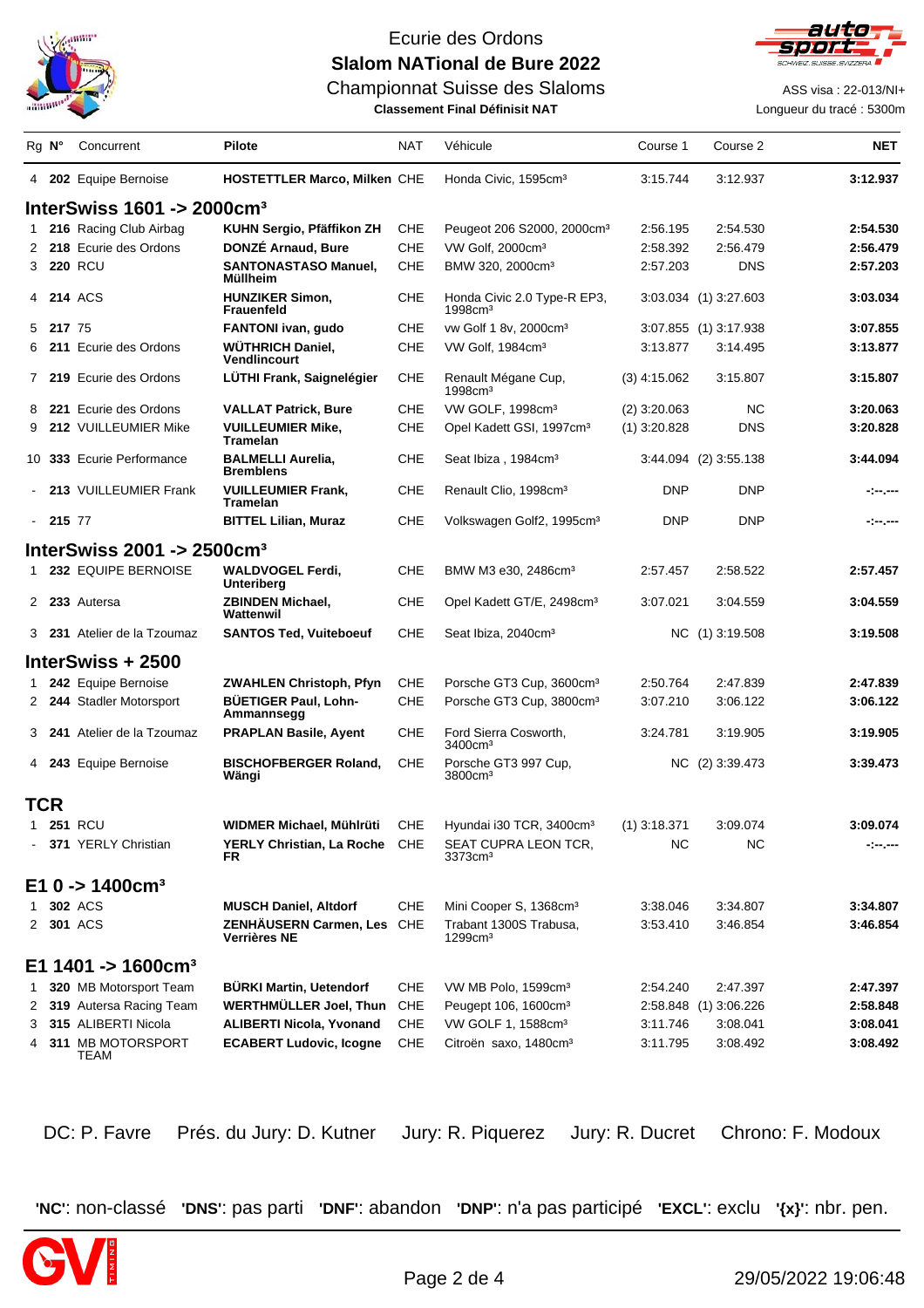

auto

Championnat Suisse des Slaloms **ASS** visa : 22-013/NI+

**Classement Final Définisit NAT** Longueur du tracé : 5300m

|   | Rg N°    | Concurrent                                  | Pilote                                       | <b>NAT</b> | Véhicule                                              | Course 1       | Course 2              | <b>NET</b> |
|---|----------|---------------------------------------------|----------------------------------------------|------------|-------------------------------------------------------|----------------|-----------------------|------------|
|   |          | 4 202 Equipe Bernoise                       | <b>HOSTETTLER Marco, Milken CHE</b>          |            | Honda Civic, 1595cm <sup>3</sup>                      | 3:15.744       | 3:12.937              | 3:12.937   |
|   |          | InterSwiss $1601 \div 2000$ cm <sup>3</sup> |                                              |            |                                                       |                |                       |            |
| 1 |          | 216 Racing Club Airbag                      | KUHN Sergio, Pfäffikon ZH                    | CHE        | Peugeot 206 S2000, 2000cm <sup>3</sup>                | 2:56.195       | 2:54.530              | 2:54.530   |
|   |          | 2 218 Ecurie des Ordons                     | DONZÉ Arnaud, Bure                           | CHE        | VW Golf, 2000cm <sup>3</sup>                          | 2:58.392       | 2:56.479              | 2:56.479   |
|   |          | 3 220 RCU                                   | <b>SANTONASTASO Manuel,</b><br>Müllheim      | CHE        | BMW 320, 2000cm <sup>3</sup>                          | 2:57.203       | <b>DNS</b>            | 2:57.203   |
|   |          | 4 214 ACS                                   | <b>HUNZIKER Simon.</b><br><b>Frauenfeld</b>  | CHE        | Honda Civic 2.0 Type-R EP3,<br>$1998$ cm <sup>3</sup> |                | 3:03.034 (1) 3:27.603 | 3:03.034   |
| 5 | 217 75   |                                             | <b>FANTONI</b> ivan, gudo                    | CHE        | vw Golf 1 8v, 2000cm <sup>3</sup>                     |                | 3:07.855 (1) 3:17.938 | 3:07.855   |
| 6 |          | <b>211</b> Ecurie des Ordons                | WÜTHRICH Daniel,<br>Vendlincourt             | <b>CHE</b> | VW Golf, 1984cm <sup>3</sup>                          | 3:13.877       | 3:14.495              | 3:13.877   |
|   |          | 7 219 Ecurie des Ordons                     | LÜTHI Frank, Saignelégier                    | CHE        | Renault Mégane Cup,<br>$1998$ cm <sup>3</sup>         | $(3)$ 4:15.062 | 3:15.807              | 3:15.807   |
| 8 |          | 221 Ecurie des Ordons                       | <b>VALLAT Patrick, Bure</b>                  | CHE        | VW GOLF, 1998cm <sup>3</sup>                          | $(2)$ 3:20.063 | <b>NC</b>             | 3:20.063   |
| 9 |          | 212 VUILLEUMIER Mike                        | <b>VUILLEUMIER Mike,</b><br>Tramelan         | CHE        | Opel Kadett GSI, 1997cm <sup>3</sup>                  | $(1)$ 3:20.828 | <b>DNS</b>            | 3:20.828   |
|   |          | 10 333 Ecurie Performance                   | <b>BALMELLI Aurelia,</b><br><b>Bremblens</b> | CHE        | Seat Ibiza, 1984cm <sup>3</sup>                       |                | 3:44.094 (2) 3:55.138 | 3:44.094   |
|   |          | 213 VUILLEUMIER Frank                       | <b>VUILLEUMIER Frank,</b><br>Tramelan        | CHE        | Renault Clio, 1998cm <sup>3</sup>                     | <b>DNP</b>     | <b>DNP</b>            | -:--.---   |
|   | $-21577$ |                                             | <b>BITTEL Lilian, Muraz</b>                  | CHE        | Volkswagen Golf2, 1995cm <sup>3</sup>                 | <b>DNP</b>     | <b>DNP</b>            | -:--.---   |
|   |          | InterSwiss 2001 -> $2500$ cm <sup>3</sup>   |                                              |            |                                                       |                |                       |            |
|   |          | 1 232 EQUIPE BERNOISE                       | <b>WALDVOGEL Ferdi.</b><br>Unteriberg        | CHE        | BMW M3 e30, 2486cm <sup>3</sup>                       | 2:57.457       | 2:58.522              | 2:57.457   |
|   |          | 2 233 Autersa                               | ZBINDEN Michael,<br>Wattenwil                | CHE        | Opel Kadett GT/E, 2498cm <sup>3</sup>                 | 3:07.021       | 3:04.559              | 3:04.559   |
|   |          | 3 231 Atelier de la Tzoumaz                 | <b>SANTOS Ted, Vuiteboeuf</b>                | <b>CHE</b> | Seat Ibiza, 2040cm <sup>3</sup>                       |                | NC (1) 3:19.508       | 3:19.508   |
|   |          | InterSwiss + 2500                           |                                              |            |                                                       |                |                       |            |
| 1 |          | 242 Equipe Bernoise                         | <b>ZWAHLEN Christoph, Pfyn</b>               | CHE        | Porsche GT3 Cup, 3600cm <sup>3</sup>                  | 2:50.764       | 2:47.839              | 2:47.839   |
|   |          | 2 244 Stadler Motorsport                    | <b>BUETIGER Paul, Lohn-</b><br>Ammannsegg    | CHE        | Porsche GT3 Cup, 3800cm <sup>3</sup>                  | 3:07.210       | 3:06.122              | 3:06.122   |
|   |          | 3 241 Atelier de la Tzoumaz                 | <b>PRAPLAN Basile, Ayent</b>                 | CHE        | Ford Sierra Cosworth,<br>3400cm <sup>3</sup>          | 3:24.781       | 3:19.905              | 3:19.905   |
|   |          | 4 243 Equipe Bernoise                       | <b>BISCHOFBERGER Roland,</b><br>Wängi        | <b>CHE</b> | Porsche GT3 997 Cup,<br>3800cm <sup>3</sup>           |                | NC (2) 3:39.473       | 3:39.473   |
|   | TCR      |                                             |                                              |            |                                                       |                |                       |            |
|   |          | 1 251 RCU                                   | WIDMER Michael, Mühlrüti                     | CHE        | Hyundai i30 TCR, 3400cm <sup>3</sup>                  | $(1)$ 3:18.371 | 3:09.074              | 3:09.074   |
|   |          | - 371 YERLY Christian                       | YERLY Christian, La Roche CHE<br><b>FR</b>   |            | SEAT CUPRA LEON TCR,<br>3373cm <sup>3</sup>           | NC             | NC.                   | -:--.---   |
|   |          | $E1$ 0 -> 1400cm <sup>3</sup>               |                                              |            |                                                       |                |                       |            |
| 1 |          | 302 ACS                                     | <b>MUSCH Daniel, Altdorf</b>                 | <b>CHE</b> | Mini Cooper S, 1368cm <sup>3</sup>                    | 3:38.046       | 3:34.807              | 3:34.807   |
|   |          | 2 301 ACS                                   | ZENHÄUSERN Carmen, Les<br>Verrières NE       | <b>CHE</b> | Trabant 1300S Trabusa,<br>1299cm <sup>3</sup>         | 3:53.410       | 3:46.854              | 3:46.854   |
|   |          | E1 1401 -> 1600cm <sup>3</sup>              |                                              |            |                                                       |                |                       |            |
| 1 |          | 320 MB Motorsport Team                      | <b>BÜRKI Martin, Uetendorf</b>               | CHE        | VW MB Polo, 1599cm <sup>3</sup>                       | 2:54.240       | 2:47.397              | 2:47.397   |
|   |          | 2 319 Autersa Racing Team                   | <b>WERTHMÜLLER Joel, Thun</b>                | <b>CHE</b> | Peugept 106, 1600cm <sup>3</sup>                      |                | 2:58.848 (1) 3:06.226 | 2:58.848   |
| 3 |          | 315 ALIBERTI Nicola                         | <b>ALIBERTI Nicola, Yvonand</b>              | <b>CHE</b> | VW GOLF 1, 1588cm <sup>3</sup>                        | 3:11.746       | 3:08.041              | 3:08.041   |
| 4 |          | 311 MB MOTORSPORT<br>TEAM                   | <b>ECABERT Ludovic, Icogne</b>               | CHE        | Citroën saxo, 1480cm <sup>3</sup>                     | 3:11.795       | 3:08.492              | 3:08.492   |

DC: P. Favre Prés. du Jury: D. Kutner Jury: R. Piquerez Jury: R. Ducret Chrono: F. Modoux

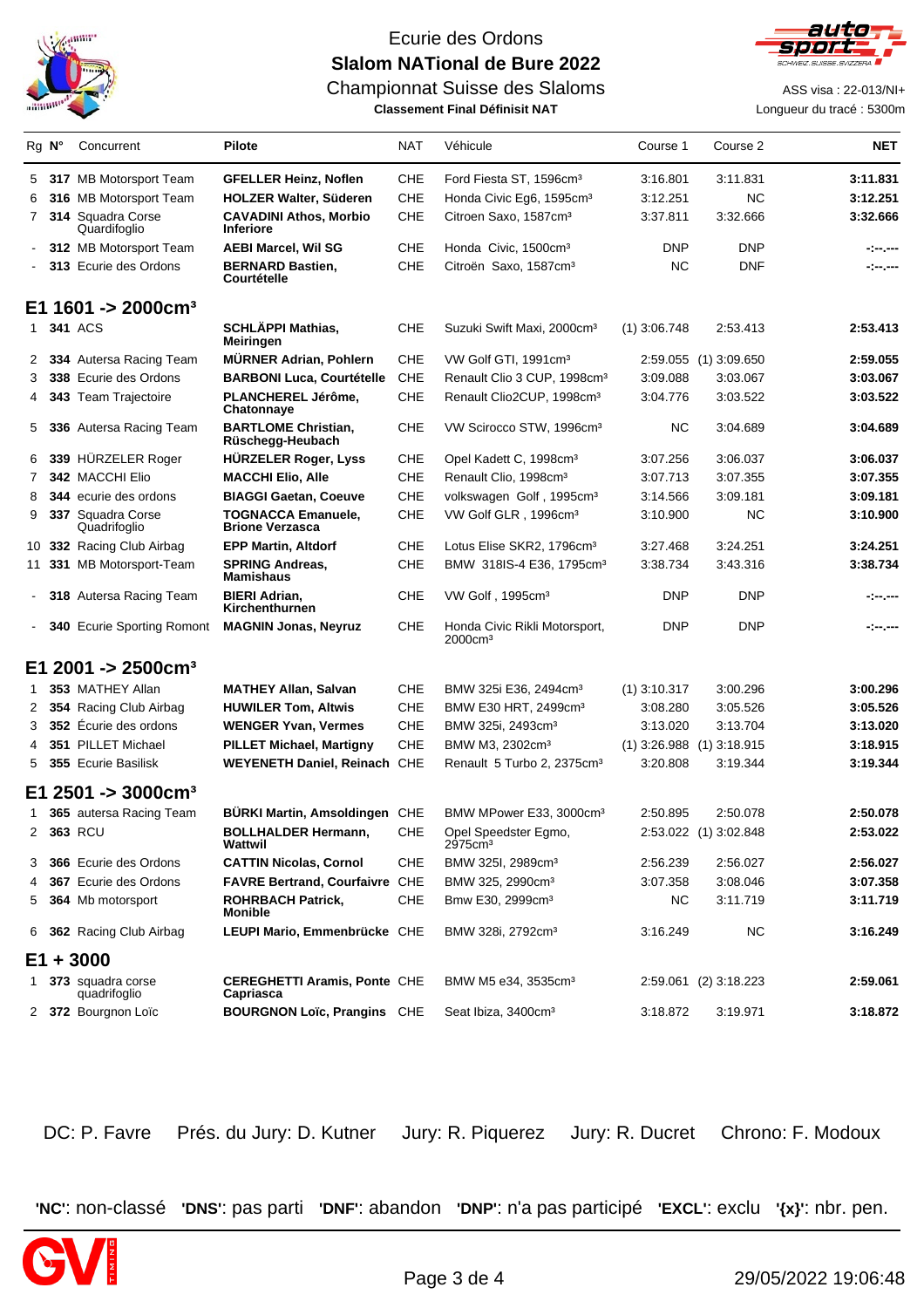



Championnat Suisse des Slaloms **ASS** visa : 22-013/NI+

**Classement Final Définisit NAT Longueur du tracé : 5300m** 

|    | $Rg$ $N^{\circ}$ | Concurrent                        | Pilote                                              | NAT        | Véhicule                                    | Course 1       | Course 2                      | <b>NET</b> |
|----|------------------|-----------------------------------|-----------------------------------------------------|------------|---------------------------------------------|----------------|-------------------------------|------------|
|    |                  | 5 317 MB Motorsport Team          | <b>GFELLER Heinz, Noflen</b>                        | CHE        | Ford Fiesta ST, 1596cm <sup>3</sup>         | 3:16.801       | 3:11.831                      | 3:11.831   |
| 6  |                  | 316 MB Motorsport Team            | <b>HOLZER Walter, Süderen</b>                       | CHE        | Honda Civic Eg6, 1595cm <sup>3</sup>        | 3:12.251       | <b>NC</b>                     | 3:12.251   |
| 7  |                  | 314 Squadra Corse<br>Quardifoglio | <b>CAVADINI Athos, Morbio</b><br><b>Inferiore</b>   | <b>CHE</b> | Citroen Saxo, 1587cm <sup>3</sup>           | 3:37.811       | 3:32.666                      | 3:32.666   |
|    |                  | 312 MB Motorsport Team            | <b>AEBI Marcel, Wil SG</b>                          | CHE        | Honda Civic, 1500cm <sup>3</sup>            | <b>DNP</b>     | <b>DNP</b>                    | -:--.---   |
|    |                  | 313 Ecurie des Ordons             | <b>BERNARD Bastien,</b><br>Courtételle              | CHE        | Citroën Saxo, 1587cm <sup>3</sup>           | ΝC             | <b>DNF</b>                    | -:--.---   |
|    |                  | E1 1601 -> 2000cm <sup>3</sup>    |                                                     |            |                                             |                |                               |            |
| 1  |                  | <b>341 ACS</b>                    | SCHLÄPPI Mathias,<br>Meiringen                      | <b>CHE</b> | Suzuki Swift Maxi, 2000cm <sup>3</sup>      | $(1)$ 3:06.748 | 2:53.413                      | 2:53.413   |
| 2  |                  | 334 Autersa Racing Team           | <b>MÜRNER Adrian, Pohlern</b>                       | <b>CHE</b> | VW Golf GTI, 1991cm <sup>3</sup>            |                | 2:59.055 (1) 3:09.650         | 2:59.055   |
| 3  |                  | 338 Ecurie des Ordons             | <b>BARBONI Luca, Courtételle</b>                    | <b>CHE</b> | Renault Clio 3 CUP, 1998cm <sup>3</sup>     | 3:09.088       | 3:03.067                      | 3:03.067   |
| 4  |                  | <b>343</b> Team Trajectoire       | PLANCHEREL Jérôme,<br><b>Chatonnaye</b>             | CHE        | Renault Clio2CUP, 1998cm <sup>3</sup>       | 3:04.776       | 3:03.522                      | 3:03.522   |
| 5  |                  | 336 Autersa Racing Team           | <b>BARTLOME Christian,</b><br>Rüschegg-Heubach      | CHE        | VW Scirocco STW, 1996cm <sup>3</sup>        | ΝC             | 3:04.689                      | 3:04.689   |
| 6  |                  | 339 HÜRZELER Roger                | <b>HÜRZELER Roger, Lyss</b>                         | CHE        | Opel Kadett C, 1998cm <sup>3</sup>          | 3:07.256       | 3:06.037                      | 3:06.037   |
| 7  |                  | 342 MACCHI Elio                   | <b>MACCHI Elio, Alle</b>                            | <b>CHE</b> | Renault Clio, 1998cm <sup>3</sup>           | 3:07.713       | 3:07.355                      | 3:07.355   |
| 8  |                  | 344 ecurie des ordons             | <b>BIAGGI Gaetan, Coeuve</b>                        | <b>CHE</b> | volkswagen Golf, 1995cm <sup>3</sup>        | 3:14.566       | 3:09.181                      | 3:09.181   |
| 9  |                  | 337 Squadra Corse<br>Quadrifoglio | <b>TOGNACCA Emanuele,</b><br><b>Brione Verzasca</b> | CHE        | VW Golf GLR, 1996cm <sup>3</sup>            | 3:10.900       | NC                            | 3:10.900   |
|    |                  | 10 332 Racing Club Airbag         | <b>EPP Martin, Altdorf</b>                          | CHE        | Lotus Elise SKR2, 1796cm <sup>3</sup>       | 3:27.468       | 3:24.251                      | 3:24.251   |
|    |                  | 11 331 MB Motorsport-Team         | <b>SPRING Andreas,</b><br><b>Mamishaus</b>          | CHE        | BMW 318IS-4 E36, 1795cm <sup>3</sup>        | 3:38.734       | 3:43.316                      | 3:38.734   |
|    |                  | 318 Autersa Racing Team           | <b>BIERI Adrian,</b><br>Kirchenthurnen              | CHE        | VW Golf, 1995cm <sup>3</sup>                | <b>DNP</b>     | DNP                           | -:--.---   |
|    |                  | 340 Ecurie Sporting Romont        | <b>MAGNIN Jonas, Neyruz</b>                         | <b>CHE</b> | Honda Civic Rikli Motorsport,<br>2000cmª    | <b>DNP</b>     | <b>DNP</b>                    | -:--.---   |
| E1 |                  | $2001 - 2500$ cm <sup>3</sup>     |                                                     |            |                                             |                |                               |            |
| 1  |                  | 353 MATHEY Allan                  | <b>MATHEY Allan, Salvan</b>                         | CHE        | BMW 325i E36, 2494cm <sup>3</sup>           | $(1)$ 3:10.317 | 3:00.296                      | 3:00.296   |
| 2  |                  | 354 Racing Club Airbag            | <b>HUWILER Tom, Altwis</b>                          | CHE        | BMW E30 HRT, 2499cm <sup>3</sup>            | 3:08.280       | 3:05.526                      | 3:05.526   |
| 3  |                  | 352 Écurie des ordons             | <b>WENGER Yvan, Vermes</b>                          | CHE        | BMW 325i, 2493cm <sup>3</sup>               | 3:13.020       | 3:13.704                      | 3:13.020   |
| 4  |                  | 351 PILLET Michael                | <b>PILLET Michael, Martigny</b>                     | CHE        | BMW M3, 2302cm <sup>3</sup>                 |                | $(1)$ 3:26.988 $(1)$ 3:18.915 | 3:18.915   |
| 5  |                  | 355 Ecurie Basilisk               | WEYENETH Daniel, Reinach CHE                        |            | Renault 5 Turbo 2, 2375cm <sup>3</sup>      | 3:20.808       | 3:19.344                      | 3:19.344   |
|    |                  | $E1 2501 - 3000$ cm <sup>3</sup>  |                                                     |            |                                             |                |                               |            |
| 1  |                  | 365 autersa Racing Team           | BÜRKI Martin, Amsoldingen CHE                       |            | BMW MPower E33, 3000cm <sup>3</sup>         | 2:50.895       | 2:50.078                      | 2:50.078   |
|    |                  | 2 363 RCU                         | <b>BOLLHALDER Hermann,</b><br>Wattwil               | CHE        | Opel Speedster Egmo,<br>2975cm <sup>3</sup> |                | 2:53.022 (1) 3:02.848         | 2:53.022   |
| 3  |                  | <b>366</b> Ecurie des Ordons      | <b>CATTIN Nicolas, Cornol</b>                       | CHE        | BMW 325I, 2989cm <sup>3</sup>               | 2:56.239       | 2:56.027                      | 2:56.027   |
| 4  |                  | <b>367</b> Ecurie des Ordons      | FAVRE Bertrand, Courfaivre CHE                      |            | BMW 325, 2990cm <sup>3</sup>                | 3:07.358       | 3:08.046                      | 3:07.358   |
| 5  |                  | 364 Mb motorsport                 | <b>ROHRBACH Patrick,</b><br><b>Monible</b>          | CHE        | Bmw E30, 2999cm <sup>3</sup>                | NС             | 3:11.719                      | 3:11.719   |
|    |                  | 6 362 Racing Club Airbag          | LEUPI Mario, Emmenbrücke CHE                        |            | BMW 328i, 2792cm <sup>3</sup>               | 3:16.249       | NС                            | 3:16.249   |
| E1 |                  | $+3000$                           |                                                     |            |                                             |                |                               |            |
| 1  |                  | 373 squadra corse<br>quadrifoglio | <b>CEREGHETTI Aramis, Ponte CHE</b><br>Capriasca    |            | BMW M5 e34, 3535cm <sup>3</sup>             |                | 2:59.061 (2) 3:18.223         | 2:59.061   |
|    |                  | 2 372 Bourgnon Loïc               | <b>BOURGNON Loïc, Prangins CHE</b>                  |            | Seat Ibiza, 3400cm <sup>3</sup>             | 3:18.872       | 3:19.971                      | 3:18.872   |

DC: P. Favre Prés. du Jury: D. Kutner Jury: R. Piquerez Jury: R. Ducret Chrono: F. Modoux